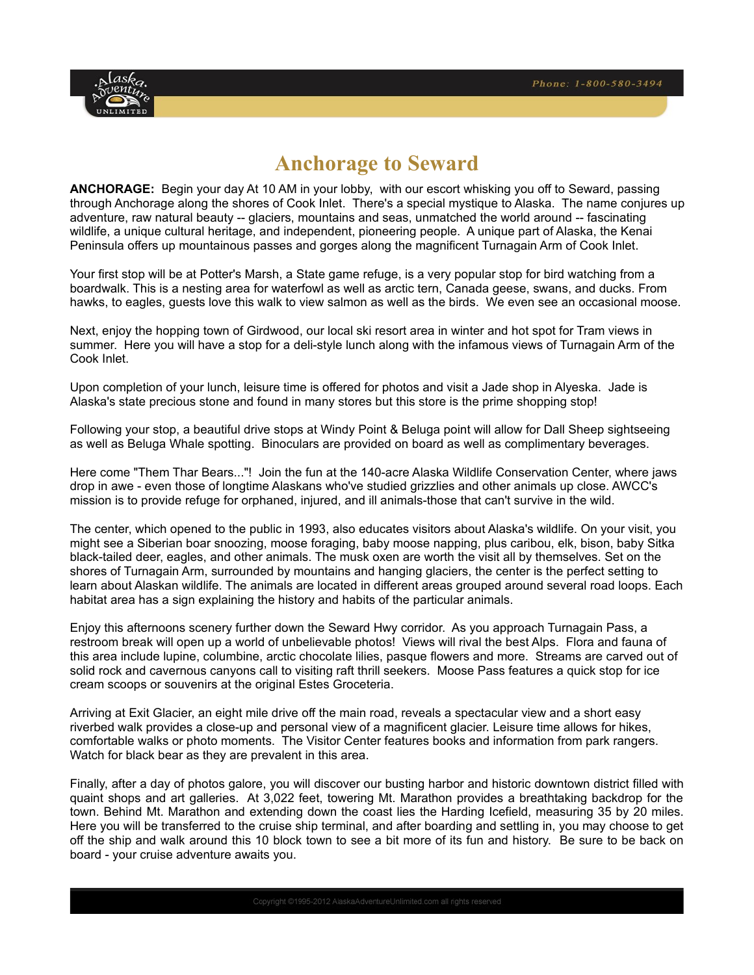

# **Anchorage to Seward**

**ANCHORAGE:** Begin your day At 10 AM in your lobby, with our escort whisking you off to Seward, passing through Anchorage along the shores of Cook Inlet. There's a special mystique to Alaska. The name conjures up adventure, raw natural beauty -- glaciers, mountains and seas, unmatched the world around -- fascinating wildlife, a unique cultural heritage, and independent, pioneering people. A unique part of Alaska, the Kenai Peninsula offers up mountainous passes and gorges along the magnificent Turnagain Arm of Cook Inlet.

Your first stop will be at Potter's Marsh, a State game refuge, is a very popular stop for bird watching from a boardwalk. This is a nesting area for waterfowl as well as arctic tern, Canada geese, swans, and ducks. From hawks, to eagles, guests love this walk to view salmon as well as the birds. We even see an occasional moose.

Next, enjoy the hopping town of Girdwood, our local ski resort area in winter and hot spot for Tram views in summer. Here you will have a stop for a deli-style lunch along with the infamous views of Turnagain Arm of the Cook Inlet.

Upon completion of your lunch, leisure time is offered for photos and visit a Jade shop in Alyeska. Jade is Alaska's state precious stone and found in many stores but this store is the prime shopping stop!

Following your stop, a beautiful drive stops at Windy Point & Beluga point will allow for Dall Sheep sightseeing as well as Beluga Whale spotting. Binoculars are provided on board as well as complimentary beverages.

Here come "Them Thar Bears..."! Join the fun at the 140-acre Alaska Wildlife Conservation Center, where jaws drop in awe - even those of longtime Alaskans who've studied grizzlies and other animals up close. AWCC's mission is to provide refuge for orphaned, injured, and ill animals-those that can't survive in the wild.

The center, which opened to the public in 1993, also educates visitors about Alaska's wildlife. On your visit, you might see a Siberian boar snoozing, moose foraging, baby moose napping, plus caribou, elk, bison, baby Sitka black-tailed deer, eagles, and other animals. The musk oxen are worth the visit all by themselves. Set on the shores of Turnagain Arm, surrounded by mountains and hanging glaciers, the center is the perfect setting to learn about Alaskan wildlife. The animals are located in different areas grouped around several road loops. Each habitat area has a sign explaining the history and habits of the particular animals.

Enjoy this afternoons scenery further down the Seward Hwy corridor. As you approach Turnagain Pass, a restroom break will open up a world of unbelievable photos! Views will rival the best Alps. Flora and fauna of this area include lupine, columbine, arctic chocolate lilies, pasque flowers and more. Streams are carved out of solid rock and cavernous canyons call to visiting raft thrill seekers. Moose Pass features a quick stop for ice cream scoops or souvenirs at the original Estes Groceteria.

Arriving at Exit Glacier, an eight mile drive off the main road, reveals a spectacular view and a short easy riverbed walk provides a close-up and personal view of a magnificent glacier. Leisure time allows for hikes, comfortable walks or photo moments. The Visitor Center features books and information from park rangers. Watch for black bear as they are prevalent in this area.

Finally, after a day of photos galore, you will discover our busting harbor and historic downtown district filled with quaint shops and art galleries. At 3,022 feet, towering Mt. Marathon provides a breathtaking backdrop for the town. Behind Mt. Marathon and extending down the coast lies the Harding Icefield, measuring 35 by 20 miles. Here you will be transferred to the cruise ship terminal, and after boarding and settling in, you may choose to get off the ship and walk around this 10 block town to see a bit more of its fun and history. Be sure to be back on board - your cruise adventure awaits you.